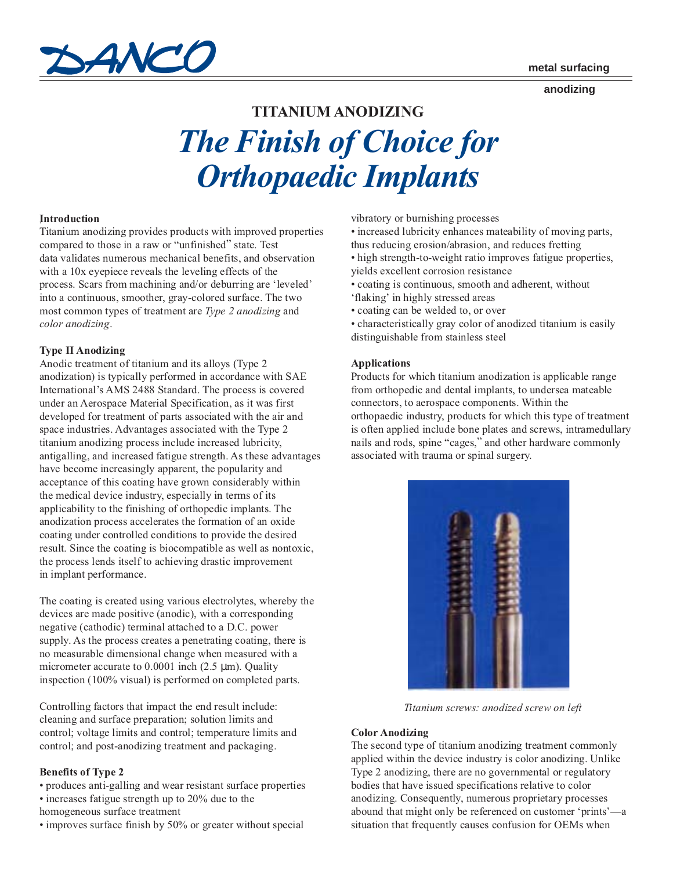

#### **anodizing**

# **TITANIUM ANODIZING**

# *The Finish of Choice for Orthopaedic Implants*

# *.* **Introduction**

Titanium anodizing provides products with improved properties compared to those in a raw or "unfinished" state. Test data validates numerous mechanical benefits, and observation with a 10x eyepiece reveals the leveling effects of the process. Scars from machining and/or deburring are 'leveled' into a continuous, smoother, gray-colored surface. The two most common types of treatment are *Type 2 anodizing* and *color anodizing*.

# **Type II Anodizing**

Anodic treatment of titanium and its alloys (Type 2 anodization) is typically performed in accordance with SAE International's AMS 2488 Standard. The process is covered under an Aerospace Material Specification, as it was first developed for treatment of parts associated with the air and space industries. Advantages associated with the Type 2 titanium anodizing process include increased lubricity, antigalling, and increased fatigue strength. As these advantages have become increasingly apparent, the popularity and acceptance of this coating have grown considerably within the medical device industry, especially in terms of its applicability to the finishing of orthopedic implants. The anodization process accelerates the formation of an oxide coating under controlled conditions to provide the desired result. Since the coating is biocompatible as well as nontoxic, the process lends itself to achieving drastic improvement in implant performance.

The coating is created using various electrolytes, whereby the devices are made positive (anodic), with a corresponding negative (cathodic) terminal attached to a D.C. power supply. As the process creates a penetrating coating, there is no measurable dimensional change when measured with a micrometer accurate to  $0.0001$  inch  $(2.5 \mu m)$ . Quality inspection (100% visual) is performed on completed parts.

Controlling factors that impact the end result include: cleaning and surface preparation; solution limits and control; voltage limits and control; temperature limits and control; and post-anodizing treatment and packaging.

# **Benefits of Type 2**

• produces anti-galling and wear resistant surface properties • increases fatigue strength up to 20% due to the

- homogeneous surface treatment
- improves surface finish by 50% or greater without special

vibratory or burnishing processes

- increased lubricity enhances mateability of moving parts, thus reducing erosion/abrasion, and reduces fretting
- high strength-to-weight ratio improves fatigue properties, yields excellent corrosion resistance
- coating is continuous, smooth and adherent, without
- 'flaking' in highly stressed areas
- coating can be welded to, or over

• characteristically gray color of anodized titanium is easily distinguishable from stainless steel

#### **Applications**

Products for which titanium anodization is applicable range from orthopedic and dental implants, to undersea mateable connectors, to aerospace components. Within the orthopaedic industry, products for which this type of treatment is often applied include bone plates and screws, intramedullary nails and rods, spine "cages," and other hardware commonly associated with trauma or spinal surgery.



*Titanium screws: anodized screw on left*

#### **Color Anodizing**

The second type of titanium anodizing treatment commonly applied within the device industry is color anodizing. Unlike Type 2 anodizing, there are no governmental or regulatory bodies that have issued specifications relative to color anodizing. Consequently, numerous proprietary processes abound that might only be referenced on customer 'prints'—a situation that frequently causes confusion for OEMs when